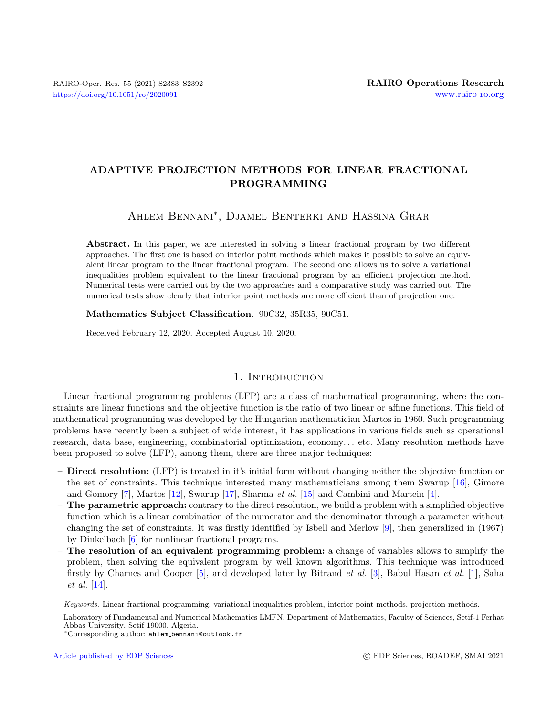# ADAPTIVE PROJECTION METHODS FOR LINEAR FRACTIONAL PROGRAMMING

Ahlem Bennani<sup>∗</sup> , Djamel Benterki and Hassina Grar

Abstract. In this paper, we are interested in solving a linear fractional program by two different approaches. The first one is based on interior point methods which makes it possible to solve an equivalent linear program to the linear fractional program. The second one allows us to solve a variational inequalities problem equivalent to the linear fractional program by an efficient projection method. Numerical tests were carried out by the two approaches and a comparative study was carried out. The numerical tests show clearly that interior point methods are more efficient than of projection one.

Mathematics Subject Classification. 90C32, 35R35, 90C51.

Received February 12, 2020. Accepted August 10, 2020.

### 1. INTRODUCTION

Linear fractional programming problems (LFP) are a class of mathematical programming, where the constraints are linear functions and the objective function is the ratio of two linear or affine functions. This field of mathematical programming was developed by the Hungarian mathematician Martos in 1960. Such programming problems have recently been a subject of wide interest, it has applications in various fields such as operational research, data base, engineering, combinatorial optimization, economy. . . etc. Many resolution methods have been proposed to solve (LFP), among them, there are three major techniques:

- Direct resolution: (LFP) is treated in it's initial form without changing neither the objective function or the set of constraints. This technique interested many mathematicians among them Swarup [\[16\]](#page-9-0), Gimore and Gomory  $[7]$ , Martos  $[12]$ , Swarup  $[17]$ , Sharma *et al.*  $[15]$  and Cambini and Martein  $[4]$ .
- The parametric approach: contrary to the direct resolution, we build a problem with a simplified objective function which is a linear combination of the numerator and the denominator through a parameter without changing the set of constraints. It was firstly identified by Isbell and Merlow [\[9\]](#page-9-6), then generalized in (1967) by Dinkelbach [\[6\]](#page-9-7) for nonlinear fractional programs.
- The resolution of an equivalent programming problem: a change of variables allows to simplify the problem, then solving the equivalent program by well known algorithms. This technique was introduced firstly by Charnes and Cooper [\[5\]](#page-9-8), and developed later by Bitrand et al. [\[3\]](#page-9-9), Babul Hasan et al. [\[1\]](#page-9-10), Saha et al. [\[14\]](#page-9-11).

Keywords. Linear fractional programming, variational inequalities problem, interior point methods, projection methods.

Laboratory of Fundamental and Numerical Mathematics LMFN, Department of Mathematics, Faculty of Sciences, Setif-1 Ferhat Abbas University, Setif 19000, Algeria.

<sup>∗</sup>Corresponding author: ahlem [bennani@outlook.fr](mailto:ahlem_bennani@outlook.fr)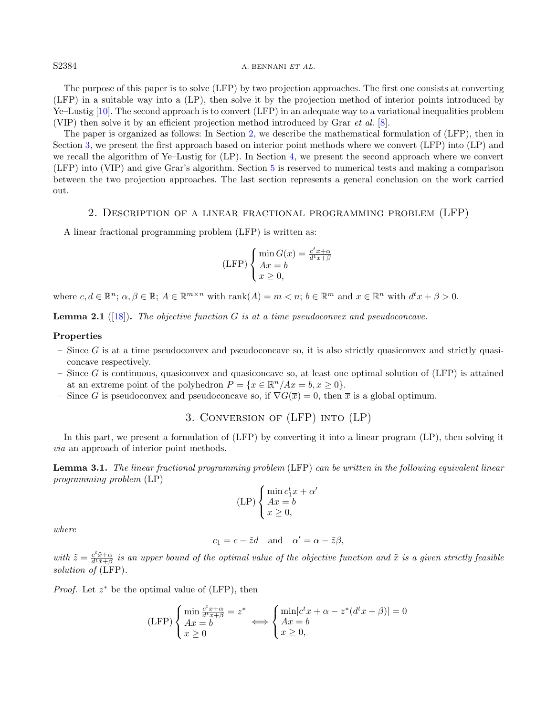S2384 A. BENNANI ET AL.

The purpose of this paper is to solve (LFP) by two projection approaches. The first one consists at converting (LFP) in a suitable way into a (LP), then solve it by the projection method of interior points introduced by Ye–Lustig [\[10\]](#page-9-12). The second approach is to convert (LFP) in an adequate way to a variational inequalities problem (VIP) then solve it by an efficient projection method introduced by Grar et al. [\[8\]](#page-9-13).

The paper is organized as follows: In Section [2,](#page-1-0) we describe the mathematical formulation of (LFP), then in Section [3,](#page-1-1) we present the first approach based on interior point methods where we convert (LFP) into (LP) and we recall the algorithm of Ye–Lustig for (LP). In Section [4,](#page-3-0) we present the second approach where we convert (LFP) into (VIP) and give Grar's algorithm. Section [5](#page-5-0) is reserved to numerical tests and making a comparison between the two projection approaches. The last section represents a general conclusion on the work carried out.

### 2. Description of a linear fractional programming problem (LFP)

<span id="page-1-0"></span>A linear fractional programming problem (LFP) is written as:

$$
(\text{LFP}) \begin{cases} \min G(x) = \frac{c^t x + \alpha}{d^t x + \beta} \\ Ax = b \\ x \ge 0, \end{cases}
$$

where  $c, d \in \mathbb{R}^n$ ;  $\alpha, \beta \in \mathbb{R}$ ;  $A \in \mathbb{R}^{m \times n}$  with  $\text{rank}(A) = m < n$ ;  $b \in \mathbb{R}^m$  and  $x \in \mathbb{R}^n$  with  $d^t x + \beta > 0$ .

**Lemma 2.1** ([\[18\]](#page-9-14)). The objective function  $G$  is at a time pseudoconvex and pseudoconcave.

#### Properties

- $-$  Since G is at a time pseudoconvex and pseudoconcave so, it is also strictly quasiconvex and strictly quasiconcave respectively.
- Since G is continuous, quasiconvex and quasiconcave so, at least one optimal solution of  $(LFP)$  is attained at an extreme point of the polyhedron  $P = \{x \in \mathbb{R}^n / Ax = b, x \ge 0\}.$
- <span id="page-1-1"></span>– Since G is pseudoconvex and pseudoconcave so, if  $\nabla G(\overline{x}) = 0$ , then  $\overline{x}$  is a global optimum.

3. Conversion of (LFP) into (LP)

In this part, we present a formulation of (LFP) by converting it into a linear program (LP), then solving it via an approach of interior point methods.

Lemma 3.1. The linear fractional programming problem (LFP) can be written in the following equivalent linear programming problem (LP)

$$
(LP)\begin{cases} \min\limits_{1 \leq t \leq x} c_1^t x + \alpha' \\ Ax = b \\ x \geq 0, \end{cases}
$$

where

$$
c_1 = c - \tilde{z}d
$$
 and  $\alpha' = \alpha - \tilde{z}\beta$ ,

with  $\tilde{z} = \frac{c^t \tilde{x} + \alpha}{d^t \tilde{x} + \beta}$  is an upper bound of the optimal value of the objective function and  $\tilde{x}$  is a given strictly feasible solution of  $(LFP)$ .

*Proof.* Let  $z^*$  be the optimal value of (LFP), then

$$
(LFP)\begin{cases} \min \frac{c^t x + \alpha}{d^t x + \beta} = z^* \\ Ax = b \\ x \ge 0 \end{cases} \Longleftrightarrow \begin{cases} \min[c^t x + \alpha - z^*(d^t x + \beta)] = 0 \\ Ax = b \\ x \ge 0, \end{cases}
$$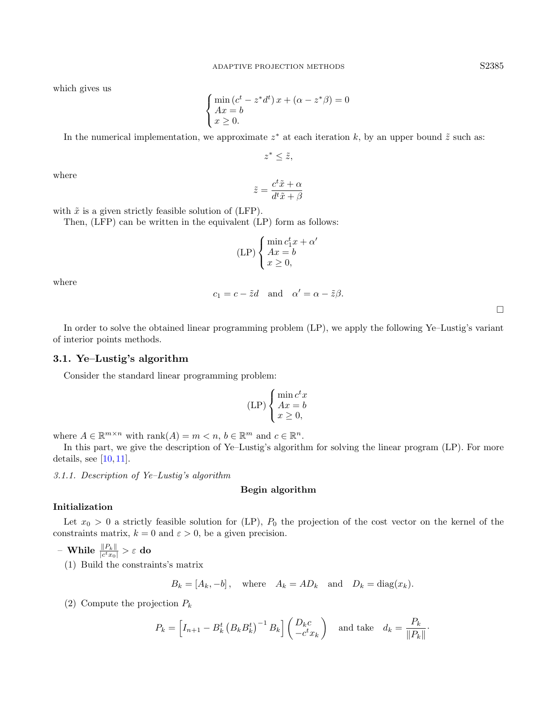which gives us

$$
\begin{cases} \min\left(c^t - z^*d^t\right)x + \left(\alpha - z^*\beta\right) = 0\\ Ax = b\\ x \ge 0. \end{cases}
$$

In the numerical implementation, we approximate  $z^*$  at each iteration k, by an upper bound  $\tilde{z}$  such as:

 $z^* \leq \tilde{z},$ 

where

$$
\tilde{z} = \frac{c^t \tilde{x} + \alpha}{d^t \tilde{x} + \beta}
$$

with  $\tilde{x}$  is a given strictly feasible solution of (LFP).

Then, (LFP) can be written in the equivalent (LP) form as follows:

$$
(LP)\begin{cases} \min \limits_{1 \leq x \leq b} c_1^t x + \alpha' \\ Ax = b \\ x \geq 0, \end{cases}
$$

where

$$
c_1 = c - \tilde{z}d
$$
 and  $\alpha' = \alpha - \tilde{z}\beta$ .

 $\Box$ 

In order to solve the obtained linear programming problem (LP), we apply the following Ye–Lustig's variant of interior points methods.

### 3.1. Ye–Lustig's algorithm

Consider the standard linear programming problem:

$$
(\text{LP}) \begin{cases} \min c^t x \\ Ax = b \\ x \ge 0, \end{cases}
$$

where  $A \in \mathbb{R}^{m \times n}$  with  $\text{rank}(A) = m \lt n, b \in \mathbb{R}^m$  and  $c \in \mathbb{R}^n$ .

In this part, we give the description of Ye–Lustig's algorithm for solving the linear program (LP). For more details, see  $[10, 11]$  $[10, 11]$  $[10, 11]$ .

3.1.1. Description of Ye–Lustig's algorithm

### Begin algorithm

#### Initialization

Let  $x_0 > 0$  a strictly feasible solution for (LP),  $P_0$  the projection of the cost vector on the kernel of the constraints matrix,  $k = 0$  and  $\varepsilon > 0$ , be a given precision.

$$
\text{ -- While } \tfrac{\|P_k\|}{|c^tx_0|} > \varepsilon \text{ do}
$$

(1) Build the constraints's matrix

$$
B_k = [A_k, -b]
$$
, where  $A_k = AD_k$  and  $D_k = diag(x_k)$ .

(2) Compute the projection  $P_k$ 

$$
P_k = \left[ I_{n+1} - B_k^t \left( B_k B_k^t \right)^{-1} B_k \right] \begin{pmatrix} D_k c \\ -c^t x_k \end{pmatrix} \text{ and take } d_k = \frac{P_k}{\|P_k\|}.
$$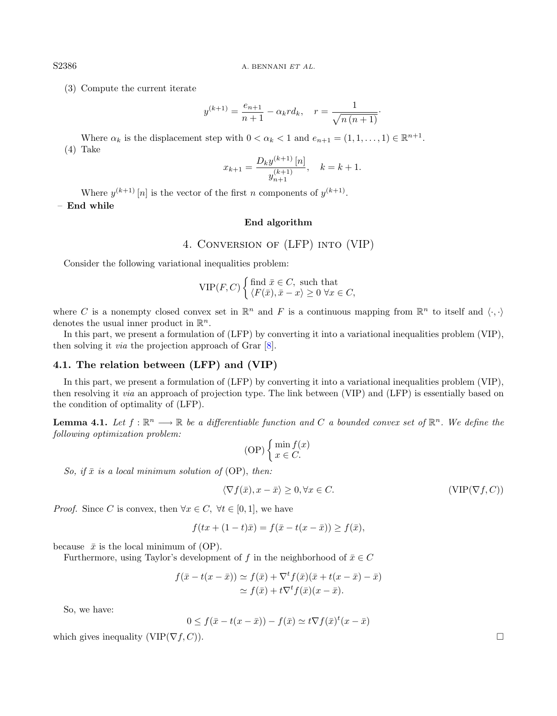S2386 A. BENNANI ET AL.

(3) Compute the current iterate

$$
y^{(k+1)} = \frac{e_{n+1}}{n+1} - \alpha_k r d_k, \quad r = \frac{1}{\sqrt{n(n+1)}}.
$$

Where  $\alpha_k$  is the displacement step with  $0 < \alpha_k < 1$  and  $e_{n+1} = (1, 1, \ldots, 1) \in \mathbb{R}^{n+1}$ . (4) Take

$$
x_{k+1} = \frac{D_k y^{(k+1)} [n]}{y_{n+1}^{(k+1)}}, \quad k = k+1.
$$

Where  $y^{(k+1)}[n]$  is the vector of the first n components of  $y^{(k+1)}$ .

– End while

## End algorithm

## 4. Conversion of (LFP) into (VIP)

<span id="page-3-0"></span>Consider the following variational inequalities problem:

$$
\text{VIP}(F, C) \begin{cases} \text{find } \bar{x} \in C, \text{ such that} \\ \langle F(\bar{x}), \bar{x} - x \rangle \ge 0 \,\forall x \in C, \end{cases}
$$

where C is a nonempty closed convex set in  $\mathbb{R}^n$  and F is a continuous mapping from  $\mathbb{R}^n$  to itself and  $\langle \cdot, \cdot \rangle$ denotes the usual inner product in  $\mathbb{R}^n$ .

In this part, we present a formulation of (LFP) by converting it into a variational inequalities problem (VIP), then solving it via the projection approach of Grar [\[8\]](#page-9-13).

### 4.1. The relation between (LFP) and (VIP)

In this part, we present a formulation of (LFP) by converting it into a variational inequalities problem (VIP), then resolving it via an approach of projection type. The link between (VIP) and (LFP) is essentially based on the condition of optimality of (LFP).

<span id="page-3-1"></span>**Lemma 4.1.** Let  $f : \mathbb{R}^n \longrightarrow \mathbb{R}$  be a differentiable function and C a bounded convex set of  $\mathbb{R}^n$ . We define the following optimization problem:

$$
(OP) \begin{cases} \min f(x) \\ x \in C. \end{cases}
$$

So, if  $\bar{x}$  is a local minimum solution of (OP), then:

$$
\langle \nabla f(\bar{x}), x - \bar{x} \rangle \ge 0, \forall x \in C. \tag{VIP}(\nabla f, C))
$$

*Proof.* Since C is convex, then  $\forall x \in C, \ \forall t \in [0,1]$ , we have

$$
f(tx + (1 - t)\bar{x}) = f(\bar{x} - t(x - \bar{x})) \ge f(\bar{x}),
$$

because  $\bar{x}$  is the local minimum of (OP).

Furthermore, using Taylor's development of f in the neighborhood of  $\bar{x} \in C$ 

$$
f(\bar{x} - t(x - \bar{x})) \simeq f(\bar{x}) + \nabla^t f(\bar{x}) (\bar{x} + t(x - \bar{x}) - \bar{x})
$$
  
\simeq f(\bar{x}) + t \nabla^t f(\bar{x}) (x - \bar{x}).

So, we have:

$$
0 \le f(\bar{x} - t(x - \bar{x})) - f(\bar{x}) \simeq t \nabla f(\bar{x})^t (x - \bar{x})
$$

which gives inequality (VIP( $\nabla f$ , C)).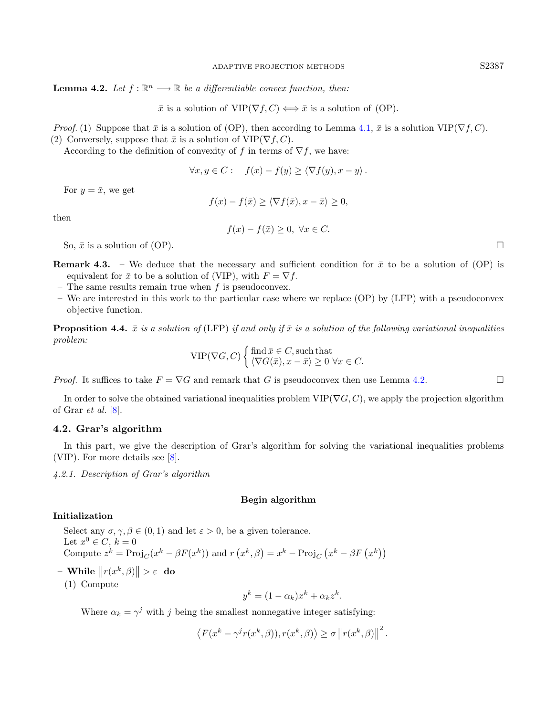<span id="page-4-0"></span>**Lemma 4.2.** Let  $f : \mathbb{R}^n \longrightarrow \mathbb{R}$  be a differentiable convex function, then:

 $\bar{x}$  is a solution of VIP( $\nabla f, C$ )  $\Longleftrightarrow \bar{x}$  is a solution of (OP).

*Proof.* (1) Suppose that  $\bar{x}$  is a solution of (OP), then according to Lemma [4.1,](#page-3-1)  $\bar{x}$  is a solution VIP( $\nabla f, C$ ). (2) Conversely, suppose that  $\bar{x}$  is a solution of VIP( $\nabla f, C$ ).

According to the definition of convexity of f in terms of  $\nabla f$ , we have:

$$
\forall x, y \in C: \quad f(x) - f(y) \ge \langle \nabla f(y), x - y \rangle.
$$

For  $y = \bar{x}$ , we get

$$
f(x) - f(\bar{x}) \ge \langle \nabla f(\bar{x}), x - \bar{x} \rangle \ge 0,
$$

then

 $f(x) - f(\bar{x}) > 0, \ \forall x \in C.$ 

So,  $\bar{x}$  is a solution of (OP).

- **Remark 4.3.** We deduce that the necessary and sufficient condition for  $\bar{x}$  to be a solution of (OP) is equivalent for  $\bar{x}$  to be a solution of (VIP), with  $F = \nabla f$ .
- The same results remain true when  $f$  is pseudoconvex.
- We are interested in this work to the particular case where we replace (OP) by (LFP) with a pseudoconvex objective function.

**Proposition 4.4.**  $\bar{x}$  is a solution of (LFP) if and only if  $\bar{x}$  is a solution of the following variational inequalities problem:

$$
\text{VIP}(\nabla G, C) \begin{cases} \text{find } \bar{x} \in C, \text{such that} \\ \langle \nabla G(\bar{x}), x - \bar{x} \rangle \ge 0 \,\,\forall x \in C. \end{cases}
$$

*Proof.* It suffices to take  $F = \nabla G$  and remark that G is pseudoconvex then use Lemma [4.2.](#page-4-0)

In order to solve the obtained variational inequalities problem  $VIP(\nabla G, C)$ , we apply the projection algorithm of Grar *et al.*  $[8]$ .

#### 4.2. Grar's algorithm

In this part, we give the description of Grar's algorithm for solving the variational inequalities problems (VIP). For more details see [\[8\]](#page-9-13).

4.2.1. Description of Grar's algorithm

#### Begin algorithm

#### Initialization

Select any  $\sigma, \gamma, \beta \in (0, 1)$  and let  $\varepsilon > 0$ , be a given tolerance. Let  $x^0 \in C$ ,  $k = 0$ Compute  $z^k = \text{Proj}_C(x^k - \beta F(x^k))$  and  $r(x^k, \beta) = x^k - \text{Proj}_C(x^k - \beta F(x^k))$ 

- $-$  While  $||r(x^k, \beta)|| > \varepsilon$  do
	- (1) Compute

$$
y^k = (1 - \alpha_k)x^k + \alpha_k z^k.
$$

Where  $\alpha_k = \gamma^j$  with j being the smallest nonnegative integer satisfying:

$$
\left\langle F(x^k - \gamma^j r(x^k, \beta)), r(x^k, \beta) \right\rangle \ge \sigma \left\| r(x^k, \beta) \right\|^2.
$$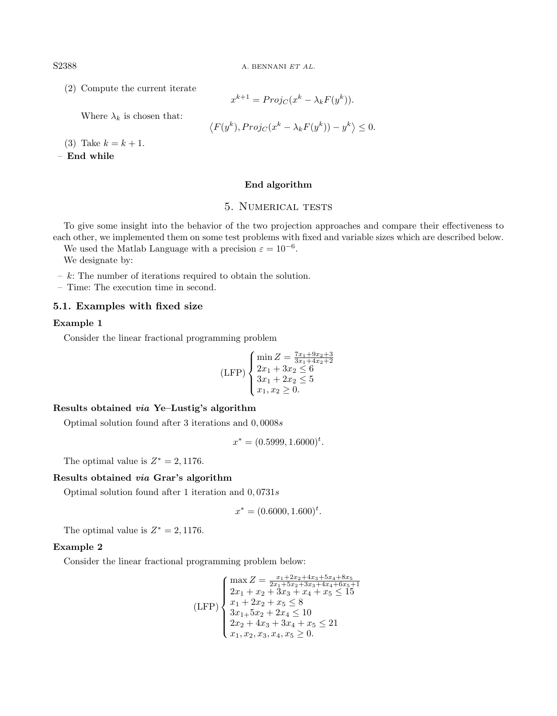S2388 A. BENNANI ET AL.

(2) Compute the current iterate

Where  $\lambda_k$  is chosen that:

$$
x^{k+1} = Proj_C(x^k - \lambda_k F(y^k)).
$$

$$
\langle F(y^k), Proj_C(x^k - \lambda_k F(y^k)) - y^k \rangle \le 0.
$$

(3) Take  $k = k + 1$ .

– End while

### End algorithm

### 5. NUMERICAL TESTS

<span id="page-5-0"></span>To give some insight into the behavior of the two projection approaches and compare their effectiveness to each other, we implemented them on some test problems with fixed and variable sizes which are described below.

We used the Matlab Language with a precision  $\varepsilon = 10^{-6}$ .

We designate by:

 $- k$ : The number of iterations required to obtain the solution.

– Time: The execution time in second.

#### 5.1. Examples with fixed size

### Example 1

Consider the linear fractional programming problem

$$
(LFP)\begin{cases} \min Z = \frac{7x_1+9x_2+3}{3x_1+4x_2+2} \\ 2x_1+3x_2 \le 6 \\ 3x_1+2x_2 \le 5 \\ x_1, x_2 \ge 0. \end{cases}
$$

## Results obtained via Ye–Lustig's algorithm

Optimal solution found after 3 iterations and 0, 0008s

 $x^* = (0.5999, 1.6000)^t.$ 

The optimal value is  $Z^* = 2,1176$ .

### Results obtained via Grar's algorithm

Optimal solution found after 1 iteration and  $0,0731s$ 

$$
x^* = (0.6000, 1.600)^t.
$$

The optimal value is  $Z^* = 2,1176$ .

#### Example 2

Consider the linear fractional programming problem below:

$$
\text{(LFP)} \begin{cases} \max Z = \frac{x_1 + 2x_2 + 4x_3 + 5x_4 + 8x_5}{2x_1 + 5x_2 + 3x_3 + 4x_4 + 6x_5 + 1} \\ 2x_1 + x_2 + 3x_3 + x_4 + x_5 \le 15 \\ x_1 + 2x_2 + x_5 \le 8 \\ 3x_1 + 5x_2 + 2x_4 \le 10 \\ 2x_2 + 4x_3 + 3x_4 + x_5 \le 21 \\ x_1, x_2, x_3, x_4, x_5 \ge 0. \end{cases}
$$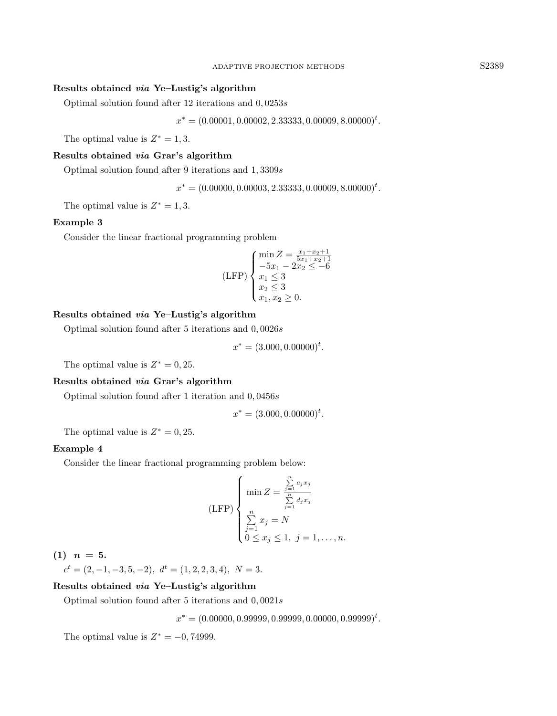## Results obtained via Ye–Lustig's algorithm

Optimal solution found after 12 iterations and  $0,0253s$ 

 $x^* = (0.00001, 0.00002, 2.33333, 0.00009, 8.00000)^t.$ 

The optimal value is  $Z^* = 1, 3$ .

### Results obtained via Grar's algorithm

Optimal solution found after 9 iterations and  $1,3309s$ 

 $x^* = (0.00000, 0.00003, 2.33333, 0.00009, 8.00000)^t.$ 

The optimal value is  $Z^* = 1, 3$ .

#### Example 3

Consider the linear fractional programming problem

$$
(LFP)\begin{cases}\n\min Z = \frac{x_1 + x_2 + 1}{5x_1 + x_2 + 1} \\
-5x_1 - 2x_2 \le -6 \\
x_1 \le 3 \\
x_2 \le 3 \\
x_1, x_2 \ge 0.\n\end{cases}
$$

### Results obtained via Ye–Lustig's algorithm

Optimal solution found after 5 iterations and 0, 0026s

$$
x^* = (3.000, 0.00000)^t.
$$

The optimal value is  $Z^* = 0, 25$ .

### Results obtained via Grar's algorithm

Optimal solution found after 1 iteration and 0, 0456s

$$
x^* = (3.000, 0.00000)^t.
$$

The optimal value is  $Z^* = 0, 25$ .

### Example 4

Consider the linear fractional programming problem below:

$$
(LFP)\n\begin{cases}\n\min Z = \frac{\sum\limits_{j=1}^{n} c_j x_j}{\sum\limits_{j=1}^{n} d_j x_j} \\
\sum\limits_{j=1}^{n} x_j = N \\
0 \le x_j \le 1, \ j = 1, \dots, n.\n\end{cases}
$$

 $(1)$   $n = 5$ .

 $c^t = (2, -1, -3, 5, -2), d^t = (1, 2, 2, 3, 4), N = 3.$ 

### Results obtained via Ye–Lustig's algorithm

Optimal solution found after 5 iterations and  $0,0021s$ 

 $x^* = (0.00000, 0.99999, 0.99999, 0.00000, 0.99999)^t.$ 

The optimal value is  $Z^* = -0,74999$ .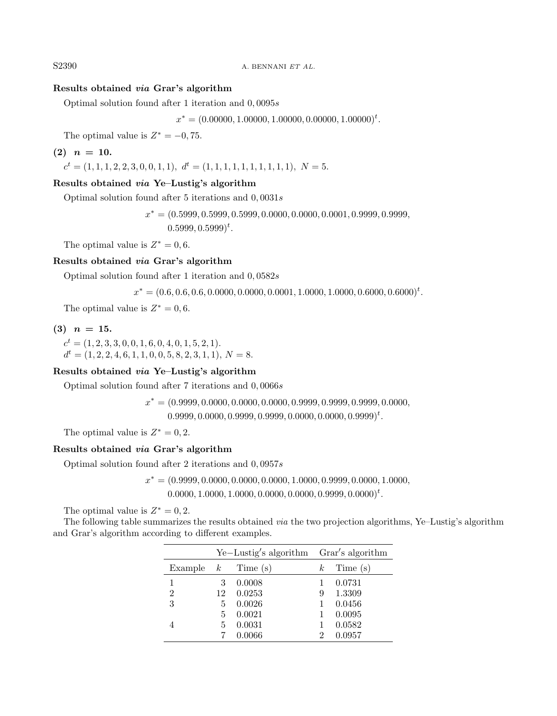S2390 A. BENNANI ET AL.

## Results obtained via Grar's algorithm

Optimal solution found after 1 iteration and 0, 0095s

 $x^* = (0.00000, 1.00000, 1.00000, 0.00000, 1.00000)^t.$ 

The optimal value is  $Z^* = -0, 75$ .

## $(2)$   $n = 10$ .

 $c<sup>t</sup> = (1, 1, 1, 2, 2, 3, 0, 0, 1, 1), d<sup>t</sup> = (1, 1, 1, 1, 1, 1, 1, 1, 1, 1), N = 5.$ 

#### Results obtained via Ye–Lustig's algorithm

Optimal solution found after 5 iterations and  $0,0031s$ 

 $x^* = (0.5999, 0.5999, 0.5999, 0.0000, 0.0000, 0.0001, 0.9999, 0.9999,$  $(0.5999, 0.5999)^t$ .

The optimal value is  $Z^* = 0, 6$ .

### Results obtained via Grar's algorithm

Optimal solution found after 1 iteration and 0, 0582s

 $x^* = (0.6, 0.6, 0.6, 0.0000, 0.0000, 0.0001, 1.0000, 1.0000, 0.6000, 0.6000)^t.$ 

The optimal value is  $Z^* = 0, 6$ .

## $(3)$   $n = 15$ .

 $c<sup>t</sup> = (1, 2, 3, 3, 0, 0, 1, 6, 0, 4, 0, 1, 5, 2, 1).$  $d^t = (1, 2, 2, 4, 6, 1, 1, 0, 0, 5, 8, 2, 3, 1, 1), N = 8.$ 

#### Results obtained via Ye–Lustig's algorithm

Optimal solution found after 7 iterations and 0, 0066s

$$
x^* = (0.9999, 0.0000, 0.0000, 0.0000, 0.9999, 0.9999, 0.9999, 0.0000, 0.0000, 0.0000, 0.0000, 0.0000, 0.0000, 0.0000, 0.0000, 0.0000, 0.0000, 0.0000, 0.0000, 0.0000, 0.0000, 0.0000, 0.0000, 0.0000, 0.0000, 0.0000, 0.0000, 0.0000, 0.0000, 0.0000, 0.0000, 0.0000, 0.0000, 0.0000, 0.0000, 0.0000, 0.0000, 0.0000, 0.0000, 0.0000, 0.0000, 0.0000, 0.0000, 0.0000, 0.0000, 0.0000, 0.0000, 0.0000, 0.0000, 0.0000, 0.0000, 0.0000, 0.0000, 0.0000, 0.0000, 0.0000, 0.0000, 0.0000, 0.0000, 0.0000, 0.0000, 0.0000, 0.0000, 0.0000, 0.0000, 0.0000, 0.0000, 0.0000, 0.0000, 0.0000, 0.0000, 0.0000, 0.0000, 0.0000, 0.0000, 0.0000, 0.0000, 0.0000, 0.0000, 0.0000, 0.0000, 0.0000, 0.0000, 0.0000, 0.0000, 0.0000, 0.0000, 0.0000, 0.0000, 0.0000, 0.0000, 0.0000, 0.0000, 0.0000, 0.
$$

 $0.9999, 0.0000, 0.9999, 0.9999, 0.0000, 0.0000, 0.9999)^t.$ 

The optimal value is  $Z^* = 0, 2$ .

## Results obtained via Grar's algorithm

Optimal solution found after 2 iterations and  $0,0957s$ 

 $x^* = (0.9999, 0.0000, 0.0000, 0.0000, 1.0000, 0.9999, 0.0000, 1.0000,$  $0.0000, 1.0000, 1.0000, 0.0000, 0.0000, 0.9999, 0.0000)^t$ .

The optimal value is  $Z^* = 0, 2$ .

The following table summarizes the results obtained via the two projection algorithms, Ye–Lustig's algorithm and Grar's algorithm according to different examples.

|                      | $Ye-Lustig's algorithm$ Grar's algorithm |        |          |          |
|----------------------|------------------------------------------|--------|----------|----------|
| Example $k$ Time (s) |                                          |        | $\kappa$ | Time (s) |
|                      | 3                                        | 0.0008 |          | 0.0731   |
| $\overline{2}$       | 12                                       | 0.0253 | 9        | 1.3309   |
| 3                    | 5                                        | 0.0026 |          | 0.0456   |
|                      | 5                                        | 0.0021 |          | 0.0095   |
|                      | 5                                        | 0.0031 |          | 0.0582   |
|                      |                                          | 0.0066 | 2        | 0.0957   |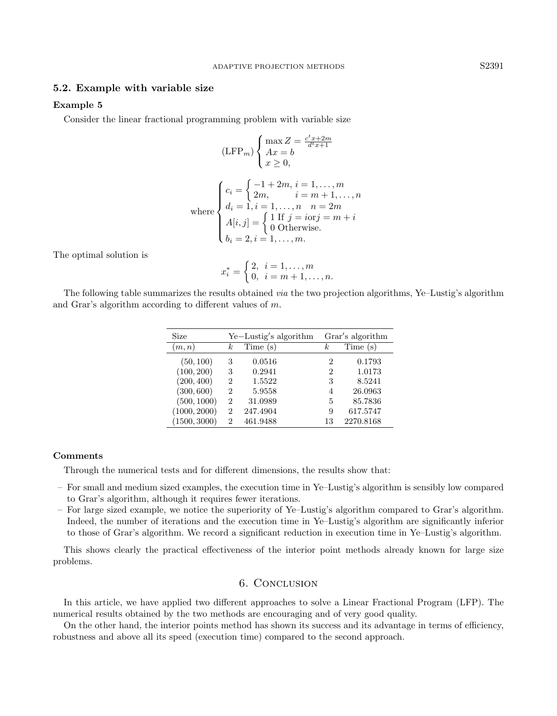#### 5.2. Example with variable size

### Example 5

Consider the linear fractional programming problem with variable size

$$
(\text{LFP}_m) \begin{cases} \max Z = \frac{c^t x + 2m}{d^t x + 1} \\ Ax = b \\ x \ge 0, \end{cases}
$$

where  
\n
$$
\begin{cases}\nc_i = \begin{cases}\n-1 + 2m, i = 1, ..., m \\
2m, i = m + 1, ..., n \\
d_i = 1, i = 1, ..., n \quad n = 2m\n\end{cases} \\
A[i, j] = \begin{cases}\n1 \text{ If } j = i \text{ or } j = m + i \\
0 \text{ Otherwise.} \\
b_i = 2, i = 1, ..., m.\n\end{cases}
$$

The optimal solution is

$$
x_i^* = \begin{cases} 2, & i = 1, \dots, m \\ 0, & i = m+1, \dots, n. \end{cases}
$$

The following table summarizes the results obtained via the two projection algorithms, Ye–Lustig's algorithm and Grar's algorithm according to different values of m.

| Size         | Ye-Lustig's algorithm |          | Grar's algorithm |           |
|--------------|-----------------------|----------|------------------|-----------|
| (m, n)       | $_{k}$                | Time (s) | k.               | Time(s)   |
| (50, 100)    | 3                     | 0.0516   | 2                | 0.1793    |
| (100, 200)   | 3                     | 0.2941   | 2                | 1.0173    |
| (200, 400)   | $\overline{2}$        | 1.5522   | 3                | 8.5241    |
| (300, 600)   | $\overline{2}$        | 5.9558   | 4                | 26.0963   |
| (500, 1000)  | $\overline{2}$        | 31.0989  | 5                | 85.7836   |
| (1000, 2000) | $\overline{2}$        | 247.4904 | 9                | 617.5747  |
| (1500, 3000) | 2                     | 461.9488 | 13               | 2270.8168 |

#### Comments

Through the numerical tests and for different dimensions, the results show that:

- For small and medium sized examples, the execution time in Ye–Lustig's algorithm is sensibly low compared to Grar's algorithm, although it requires fewer iterations.
- For large sized example, we notice the superiority of Ye–Lustig's algorithm compared to Grar's algorithm. Indeed, the number of iterations and the execution time in Ye–Lustig's algorithm are significantly inferior to those of Grar's algorithm. We record a significant reduction in execution time in Ye–Lustig's algorithm.

This shows clearly the practical effectiveness of the interior point methods already known for large size problems.

### 6. Conclusion

In this article, we have applied two different approaches to solve a Linear Fractional Program (LFP). The numerical results obtained by the two methods are encouraging and of very good quality.

On the other hand, the interior points method has shown its success and its advantage in terms of efficiency, robustness and above all its speed (execution time) compared to the second approach.